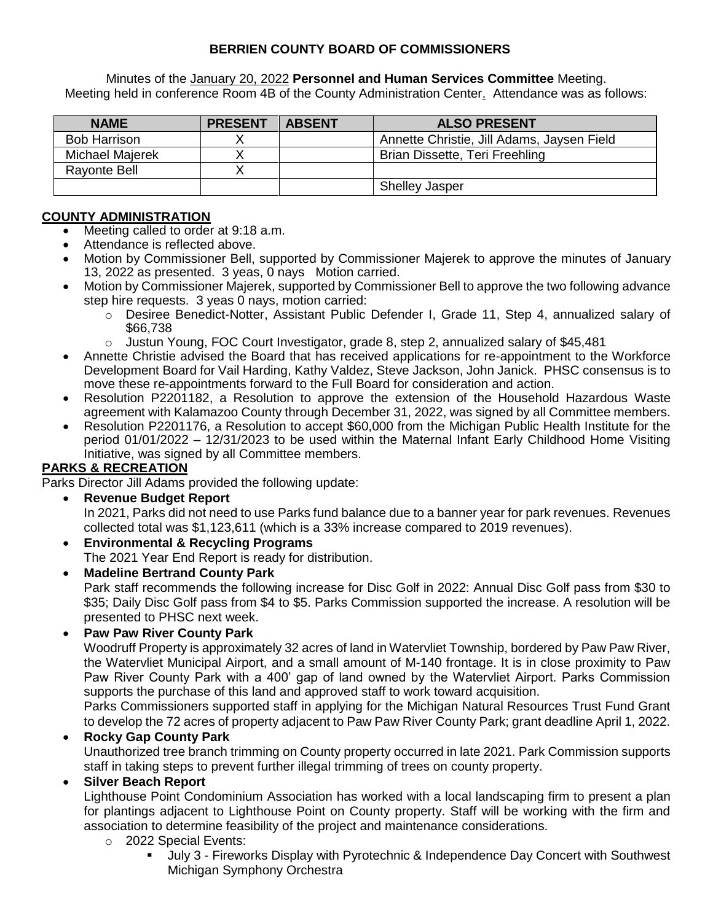## **BERRIEN COUNTY BOARD OF COMMISSIONERS**

Minutes of the January 20, 2022 **Personnel and Human Services Committee** Meeting. Meeting held in conference Room 4B of the County Administration Center. Attendance was as follows:

| <b>NAME</b>         | <b>PRESENT</b> | <b>ABSENT</b> | <b>ALSO PRESENT</b>                        |
|---------------------|----------------|---------------|--------------------------------------------|
| <b>Bob Harrison</b> |                |               | Annette Christie, Jill Adams, Jaysen Field |
| Michael Majerek     |                |               | Brian Dissette, Teri Freehling             |
| Rayonte Bell        |                |               |                                            |
|                     |                |               | <b>Shelley Jasper</b>                      |

#### **COUNTY ADMINISTRATION**

- Meeting called to order at 9:18 a.m.
- Attendance is reflected above.
- Motion by Commissioner Bell, supported by Commissioner Majerek to approve the minutes of January 13, 2022 as presented. 3 yeas, 0 nays Motion carried.
- Motion by Commissioner Majerek, supported by Commissioner Bell to approve the two following advance step hire requests. 3 yeas 0 nays, motion carried:
	- o Desiree Benedict-Notter, Assistant Public Defender I, Grade 11, Step 4, annualized salary of \$66,738
	- $\circ$  Justun Young, FOC Court Investigator, grade 8, step 2, annualized salary of \$45,481
- Annette Christie advised the Board that has received applications for re-appointment to the Workforce Development Board for Vail Harding, Kathy Valdez, Steve Jackson, John Janick. PHSC consensus is to move these re-appointments forward to the Full Board for consideration and action.
- Resolution P2201182, a Resolution to approve the extension of the Household Hazardous Waste agreement with Kalamazoo County through December 31, 2022, was signed by all Committee members.
- Resolution P2201176, a Resolution to accept \$60,000 from the Michigan Public Health Institute for the period 01/01/2022 – 12/31/2023 to be used within the Maternal Infant Early Childhood Home Visiting Initiative, was signed by all Committee members.

## **PARKS & RECREATION**

Parks Director Jill Adams provided the following update:

- **Revenue Budget Report**  In 2021, Parks did not need to use Parks fund balance due to a banner year for park revenues. Revenues collected total was \$1,123,611 (which is a 33% increase compared to 2019 revenues).
- **Environmental & Recycling Programs**  The 2021 Year End Report is ready for distribution.
- **Madeline Bertrand County Park**  Park staff recommends the following increase for Disc Golf in 2022: Annual Disc Golf pass from \$30 to \$35; Daily Disc Golf pass from \$4 to \$5. Parks Commission supported the increase. A resolution will be presented to PHSC next week.

## **Paw Paw River County Park**

Woodruff Property is approximately 32 acres of land in Watervliet Township, bordered by Paw Paw River, the Watervliet Municipal Airport, and a small amount of M-140 frontage. It is in close proximity to Paw Paw River County Park with a 400' gap of land owned by the Watervliet Airport. Parks Commission supports the purchase of this land and approved staff to work toward acquisition.

Parks Commissioners supported staff in applying for the Michigan Natural Resources Trust Fund Grant to develop the 72 acres of property adjacent to Paw Paw River County Park; grant deadline April 1, 2022.

## **Rocky Gap County Park**

Unauthorized tree branch trimming on County property occurred in late 2021. Park Commission supports staff in taking steps to prevent further illegal trimming of trees on county property.

## **Silver Beach Report**

Lighthouse Point Condominium Association has worked with a local landscaping firm to present a plan for plantings adjacent to Lighthouse Point on County property. Staff will be working with the firm and association to determine feasibility of the project and maintenance considerations.

- o 2022 Special Events:
	- July 3 Fireworks Display with Pyrotechnic & Independence Day Concert with Southwest Michigan Symphony Orchestra